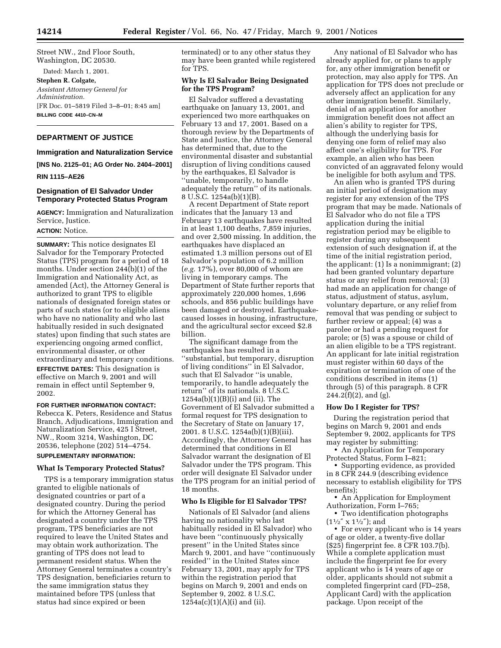Street NW., 2nd Floor South, Washington, DC 20530. Dated: March 1, 2001.

**Stephen R. Colgate,** *Assistant Attorney General for Administration.* [FR Doc. 01–5819 Filed 3–8–01; 8:45 am] **BILLING CODE 4410–CN–M**

# **DEPARTMENT OF JUSTICE**

# **Immigration and Naturalization Service**

**[INS No. 2125–01; AG Order No. 2404–2001]**

**RIN 1115–AE26**

# **Designation of El Salvador Under Temporary Protected Status Program**

**AGENCY:** Immigration and Naturalization Service, Justice.

#### **ACTION:** Notice.

**SUMMARY:** This notice designates El Salvador for the Temporary Protected Status (TPS) program for a period of 18 months. Under section 244(b)(1) of the Immigration and Nationality Act, as amended (Act), the Attorney General is authorized to grant TPS to eligible nationals of designated foreign states or parts of such states (or to eligible aliens who have no nationality and who last habitually resided in such designated states) upon finding that such states are experiencing ongoing armed conflict, environmental disaster, or other extraordinary and temporary conditions. **EFFECTIVE DATES:** This designation is effective on March 9, 2001 and will

remain in effect until September 9, 2002.

# **FOR FURTHER INFORMATION CONTACT:**

Rebecca K. Peters, Residence and Status Branch, Adjudications, Immigration and Naturalization Service, 425 I Street, NW., Room 3214, Washington, DC 20536, telephone (202) 514–4754.

# **SUPPLEMENTARY INFORMATION:**

#### **What Is Temporary Protected Status?**

TPS is a temporary immigration status granted to eligible nationals of designated countries or part of a designated country. During the period for which the Attorney General has designated a country under the TPS program, TPS beneficiaries are not required to leave the United States and may obtain work authorization. The granting of TPS does not lead to permanent resident status. When the Attorney General terminates a country's TPS designation, beneficiaries return to the same immigration status they maintained before TPS (unless that status had since expired or been

terminated) or to any other status they may have been granted while registered for TPS.

# **Why Is El Salvador Being Designated for the TPS Program?**

El Salvador suffered a devastating earthquake on January 13, 2001, and experienced two more earthquakes on February 13 and 17, 2001. Based on a thorough review by the Departments of State and Justice, the Attorney General has determined that, due to the environmental disaster and substantial disruption of living conditions caused by the earthquakes, El Salvador is ''unable, temporarily, to handle adequately the return'' of its nationals. 8 U.S.C. 1254a(b)(1)(B).

A recent Department of State report indicates that the January 13 and February 13 earthquakes have resulted in at least 1,100 deaths, 7,859 injuries, and over 2,500 missing. In addition, the earthquakes have displaced an estimated 1.3 million persons out of El Salvador's population of 6.2 million (*e.g.* 17%), over 80,000 of whom are living in temporary camps. The Department of State further reports that approximately 220,000 homes, 1,696 schools, and 856 public buildings have been damaged or destroyed. Earthquakecaused losses in housing, infrastructure, and the agricultural sector exceed \$2.8 billion.

The significant damage from the earthquakes has resulted in a ''substantial, but temporary, disruption of living conditions'' in El Salvador, such that El Salvador ''is unable, temporarily, to handle adequately the return'' of its nationals. 8 U.S.C. 1254a(b)(1)(B)(i) and (ii). The Government of El Salvador submitted a formal request for TPS designation to the Secretary of State on January 17, 2001. 8 U.S.C. 1254a(b)(1)(B)(iii). Accordingly, the Attorney General has determined that conditions in El Salvador warrant the designation of El Salvador under the TPS program. This order will designate El Salvador under the TPS program for an initial period of 18 months.

#### **Who Is Eligible for El Salvador TPS?**

Nationals of El Salvador (and aliens having no nationality who last habitually resided in El Salvador) who have been ''continuously physically present'' in the United States since March 9, 2001, and have ''continuously resided'' in the United States since February 13, 2001, may apply for TPS within the registration period that begins on March 9, 2001 and ends on September 9, 2002. 8 U.S.C.  $1254a(c)(1)(A)(i)$  and (ii).

Any national of El Salvador who has already applied for, or plans to apply for, any other immigration benefit or protection, may also apply for TPS. An application for TPS does not preclude or adversely affect an application for any other immigration benefit. Similarly, denial of an application for another immigration benefit does not affect an alien's ability to register for TPS, although the underlying basis for denying one form of relief may also affect one's eligibility for TPS. For example, an alien who has been convicted of an aggravated felony would be ineligible for both asylum and TPS.

An alien who is granted TPS during an initial period of designation may register for any extension of the TPS program that may be made. Nationals of El Salvador who do not file a TPS application during the initial registration period may be eligible to register during any subsequent extension of such designation if, at the time of the initial registration period, the applicant: (1) Is a nonimmigrant; (2) had been granted voluntary departure status or any relief from removal; (3) had made an application for change of status, adjustment of status, asylum, voluntary departure, or any relief from removal that was pending or subject to further review or appeal; (4) was a parolee or had a pending request for parole; or (5) was a spouse or child of an alien eligible to be a TPS registrant. An applicant for late initial registration must register within 60 days of the expiration or termination of one of the conditions described in items (1) through (5) of this paragraph. 8 CFR  $244.2(f)(2)$ , and  $(g)$ .

#### **How Do I Register for TPS?**

During the registration period that begins on March 9, 2001 and ends September 9, 2002, applicants for TPS may register by submitting:

• An Application for Temporary Protected Status, Form I–821;

• Supporting evidence, as provided in 8 CFR 244.9 (describing evidence necessary to establish eligibility for TPS benefits);

• An Application for Employment Authorization, Form I–765;

• Two identification photographs  $(1<sup>1</sup>/<sub>2</sub>'' x 1<sup>1</sup>/<sub>2</sub>');$  and

• For every applicant who is 14 years of age or older, a twenty-five dollar (\$25) fingerprint fee. 8 CFR 103.7(b). While a complete application must include the fingerprint fee for every applicant who is 14 years of age or older, applicants should not submit a completed fingerprint card (FD–258, Applicant Card) with the application package. Upon receipt of the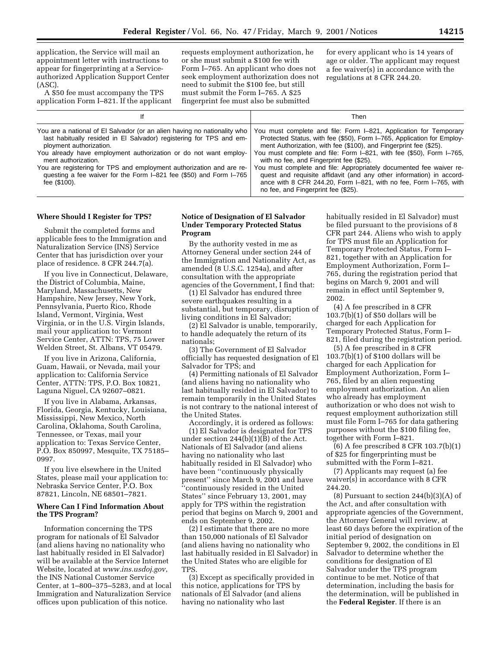application, the Service will mail an appointment letter with instructions to appear for fingerprinting at a Serviceauthorized Application Support Center  $(ASC)$ 

A \$50 fee must accompany the TPS application Form I–821. If the applicant requests employment authorization, he or she must submit a \$100 fee with Form I–765. An applicant who does not seek employment authorization does not need to submit the \$100 fee, but still must submit the Form I–765. A \$25 fingerprint fee must also be submitted

for every applicant who is 14 years of age or older. The applicant may request a fee waiver(s) in accordance with the regulations at 8 CFR 244.20.

|                                                                                                                                                                                                                                                                                                                                                                                                                                     | Then                                                                                                                                                                                                                                                                                                                                                                                                                                                                                                                                                                                            |
|-------------------------------------------------------------------------------------------------------------------------------------------------------------------------------------------------------------------------------------------------------------------------------------------------------------------------------------------------------------------------------------------------------------------------------------|-------------------------------------------------------------------------------------------------------------------------------------------------------------------------------------------------------------------------------------------------------------------------------------------------------------------------------------------------------------------------------------------------------------------------------------------------------------------------------------------------------------------------------------------------------------------------------------------------|
| You are a national of El Salvador (or an alien having no nationality who<br>last habitually resided in El Salvador) registering for TPS and em-<br>ployment authorization.<br>You already have employment authorization or do not want employ-<br>ment authorization.<br>You are registering for TPS and employment authorization and are re-<br>questing a fee waiver for the Form I-821 fee (\$50) and Form I-765<br>fee (\$100). | You must complete and file: Form I-821, Application for Temporary<br>Protected Status, with fee (\$50), Form I-765, Application for Employ-<br>ment Authorization, with fee (\$100), and Fingerprint fee (\$25).<br>You must complete and file: Form I-821, with fee (\$50), Form I-765,<br>with no fee, and Fingerprint fee (\$25).<br>You must complete and file: Appropriately documented fee waiver re-<br>quest and requisite affidavit (and any other information) in accord-<br>ance with 8 CFR 244.20, Form I-821, with no fee, Form I-765, with<br>no fee, and Fingerprint fee (\$25). |

# **Where Should I Register for TPS?**

Submit the completed forms and applicable fees to the Immigration and Naturalization Service (INS) Service Center that has jurisdiction over your place of residence. 8 CFR 244.7(a).

If you live in Connecticut, Delaware, the District of Columbia, Maine, Maryland, Massachusetts, New Hampshire, New Jersey, New York, Pennsylvania, Puerto Rico, Rhode Island, Vermont, Virginia, West Virginia, or in the U.S. Virgin Islands, mail your application to: Vermont Service Center, ATTN: TPS, 75 Lower Welden Street, St. Albans, VT 05479.

If you live in Arizona, California, Guam, Hawaii, or Nevada, mail your application to: California Service Center, ATTN: TPS, P.O. Box 10821, Laguna Niguel, CA 92607–0821.

If you live in Alabama, Arkansas, Florida, Georgia, Kentucky, Louisiana, Mississippi, New Mexico, North Carolina, Oklahoma, South Carolina, Tennessee, or Texas, mail your application to: Texas Service Center, P.O. Box 850997, Mesquite, TX 75185– 0997.

If you live elsewhere in the United States, please mail your application to: Nebraska Service Center, P.O. Box 87821, Lincoln, NE 68501–7821.

### **Where Can I Find Information About the TPS Program?**

Information concerning the TPS program for nationals of El Salvador (and aliens having no nationality who last habitually resided in El Salvador) will be available at the Service Internet Website, located at *www.ins.usdoj.gov*, the INS National Customer Service Center, at 1–800–375–5283, and at local Immigration and Naturalization Service offices upon publication of this notice.

## **Notice of Designation of El Salvador Under Temporary Protected Status Program**

By the authority vested in me as Attorney General under section 244 of the Immigration and Nationality Act, as amended (8 U.S.C. 1254a), and after consultation with the appropriate agencies of the Government, I find that:

(1) El Salvador has endured three severe earthquakes resulting in a substantial, but temporary, disruption of living conditions in El Salvador;

(2) El Salvador is unable, temporarily, to handle adequately the return of its nationals;

(3) The Government of El Salvador officially has requested designation of El Salvador for TPS; and

(4) Permitting nationals of El Salvador (and aliens having no nationality who last habitually resided in El Salvador) to remain temporarily in the United States is not contrary to the national interest of the United States.

Accordingly, it is ordered as follows:

(1) El Salvador is designated for TPS under section 244(b)(1)(B) of the Act. Nationals of El Salvador (and aliens having no nationality who last habitually resided in El Salvador) who have been ''continuously physically present'' since March 9, 2001 and have ''continuously resided in the United States'' since February 13, 2001, may apply for TPS within the registration period that begins on March 9, 2001 and ends on September 9, 2002.

(2) I estimate that there are no more than 150,000 nationals of El Salvador (and aliens having no nationality who last habitually resided in El Salvador) in the United States who are eligible for TPS.

(3) Except as specifically provided in this notice, applications for TPS by nationals of El Salvador (and aliens having no nationality who last

habitually resided in El Salvador) must be filed pursuant to the provisions of 8 CFR part 244. Aliens who wish to apply for TPS must file an Application for Temporary Protected Status, Form I– 821, together with an Application for Employment Authorization, Form I– 765, during the registration period that begins on March 9, 2001 and will remain in effect until September 9, 2002.

(4) A fee prescribed in 8 CFR 103.7(b)(1) of \$50 dollars will be charged for each Application for Temporary Protected Status, Form I– 821, filed during the registration period.

(5) A fee prescribed in 8 CFR 103.7(b)(1) of \$100 dollars will be charged for each Application for Employment Authorization, Form I– 765, filed by an alien requesting employment authorization. An alien who already has employment authorization or who does not wish to request employment authorization still must file Form I–765 for data gathering purposes without the \$100 filing fee, together with Form I–821.

(6) A fee prescribed 8 CFR 103.7(b)(1) of \$25 for fingerprinting must be submitted with the Form I–821.

(7) Applicants may request (a) fee waiver(s) in accordance with 8 CFR 244.20.

 $(8)$  Pursuant to section 244 $(b)(3)(A)$  of the Act, and after consultation with appropriate agencies of the Government, the Attorney General will review, at least 60 days before the expiration of the initial period of designation on September 9, 2002, the conditions in El Salvador to determine whether the conditions for designation of El Salvador under the TPS program continue to be met. Notice of that determination, including the basis for the determination, will be published in the **Federal Register**. If there is an